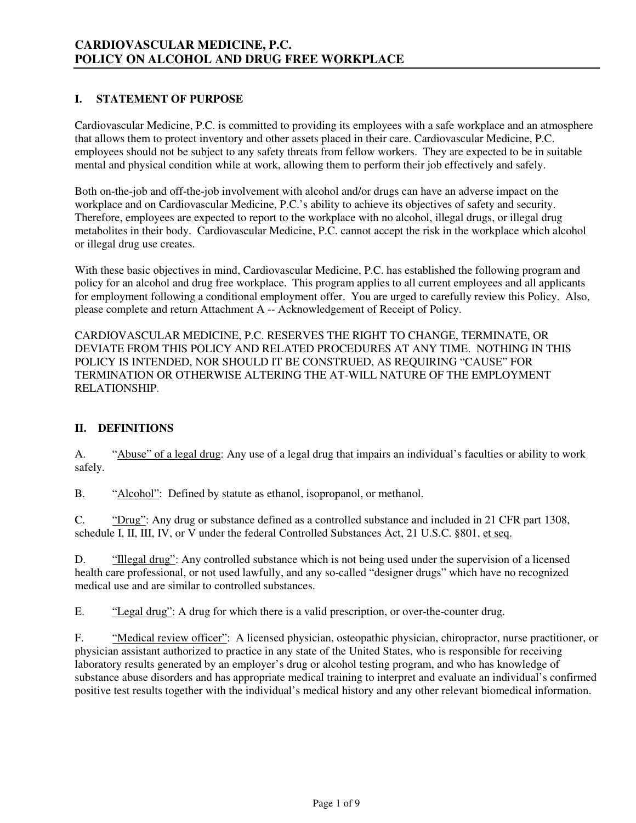## **I. STATEMENT OF PURPOSE**

Cardiovascular Medicine, P.C. is committed to providing its employees with a safe workplace and an atmosphere that allows them to protect inventory and other assets placed in their care. Cardiovascular Medicine, P.C. employees should not be subject to any safety threats from fellow workers. They are expected to be in suitable mental and physical condition while at work, allowing them to perform their job effectively and safely.

Both on-the-job and off-the-job involvement with alcohol and/or drugs can have an adverse impact on the workplace and on Cardiovascular Medicine, P.C.'s ability to achieve its objectives of safety and security. Therefore, employees are expected to report to the workplace with no alcohol, illegal drugs, or illegal drug metabolites in their body. Cardiovascular Medicine, P.C. cannot accept the risk in the workplace which alcohol or illegal drug use creates.

With these basic objectives in mind, Cardiovascular Medicine, P.C. has established the following program and policy for an alcohol and drug free workplace. This program applies to all current employees and all applicants for employment following a conditional employment offer. You are urged to carefully review this Policy. Also, please complete and return Attachment A -- Acknowledgement of Receipt of Policy.

CARDIOVASCULAR MEDICINE, P.C. RESERVES THE RIGHT TO CHANGE, TERMINATE, OR DEVIATE FROM THIS POLICY AND RELATED PROCEDURES AT ANY TIME. NOTHING IN THIS POLICY IS INTENDED, NOR SHOULD IT BE CONSTRUED, AS REQUIRING "CAUSE" FOR TERMINATION OR OTHERWISE ALTERING THE AT-WILL NATURE OF THE EMPLOYMENT RELATIONSHIP.

# **II. DEFINITIONS**

A. "Abuse" of a legal drug: Any use of a legal drug that impairs an individual's faculties or ability to work safely.

B. "Alcohol": Defined by statute as ethanol, isopropanol, or methanol.

C. "Drug": Any drug or substance defined as a controlled substance and included in 21 CFR part 1308, schedule I, II, III, IV, or V under the federal Controlled Substances Act, 21 U.S.C. §801, et seq.

D. "Illegal drug": Any controlled substance which is not being used under the supervision of a licensed health care professional, or not used lawfully, and any so-called "designer drugs" which have no recognized medical use and are similar to controlled substances.

E. "Legal drug": A drug for which there is a valid prescription, or over-the-counter drug.

 F. "Medical review officer": A licensed physician, osteopathic physician, chiropractor, nurse practitioner, or physician assistant authorized to practice in any state of the United States, who is responsible for receiving laboratory results generated by an employer's drug or alcohol testing program, and who has knowledge of substance abuse disorders and has appropriate medical training to interpret and evaluate an individual's confirmed positive test results together with the individual's medical history and any other relevant biomedical information.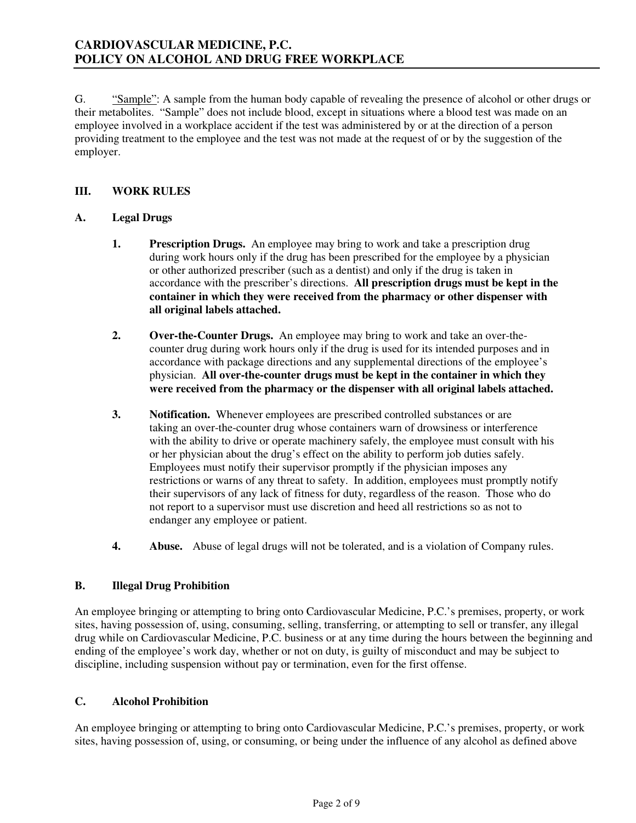G. "Sample": A sample from the human body capable of revealing the presence of alcohol or other drugs or their metabolites. "Sample" does not include blood, except in situations where a blood test was made on an employee involved in a workplace accident if the test was administered by or at the direction of a person providing treatment to the employee and the test was not made at the request of or by the suggestion of the employer.

# **III. WORK RULES**

# **A. Legal Drugs**

- **1. Prescription Drugs.** An employee may bring to work and take a prescription drug during work hours only if the drug has been prescribed for the employee by a physician or other authorized prescriber (such as a dentist) and only if the drug is taken in accordance with the prescriber's directions. **All prescription drugs must be kept in the container in which they were received from the pharmacy or other dispenser with all original labels attached.**
- **2. Over-the-Counter Drugs.** An employee may bring to work and take an over-thecounter drug during work hours only if the drug is used for its intended purposes and in accordance with package directions and any supplemental directions of the employee's physician. **All over-the-counter drugs must be kept in the container in which they were received from the pharmacy or the dispenser with all original labels attached.**
- **3.** Notification. Whenever employees are prescribed controlled substances or are taking an over-the-counter drug whose containers warn of drowsiness or interference with the ability to drive or operate machinery safely, the employee must consult with his or her physician about the drug's effect on the ability to perform job duties safely. Employees must notify their supervisor promptly if the physician imposes any restrictions or warns of any threat to safety. In addition, employees must promptly notify their supervisors of any lack of fitness for duty, regardless of the reason. Those who do not report to a supervisor must use discretion and heed all restrictions so as not to endanger any employee or patient.
- **4. Abuse.** Abuse of legal drugs will not be tolerated, and is a violation of Company rules.

# **B. Illegal Drug Prohibition**

An employee bringing or attempting to bring onto Cardiovascular Medicine, P.C.'s premises, property, or work sites, having possession of, using, consuming, selling, transferring, or attempting to sell or transfer, any illegal drug while on Cardiovascular Medicine, P.C. business or at any time during the hours between the beginning and ending of the employee's work day, whether or not on duty, is guilty of misconduct and may be subject to discipline, including suspension without pay or termination, even for the first offense.

# **C. Alcohol Prohibition**

An employee bringing or attempting to bring onto Cardiovascular Medicine, P.C.'s premises, property, or work sites, having possession of, using, or consuming, or being under the influence of any alcohol as defined above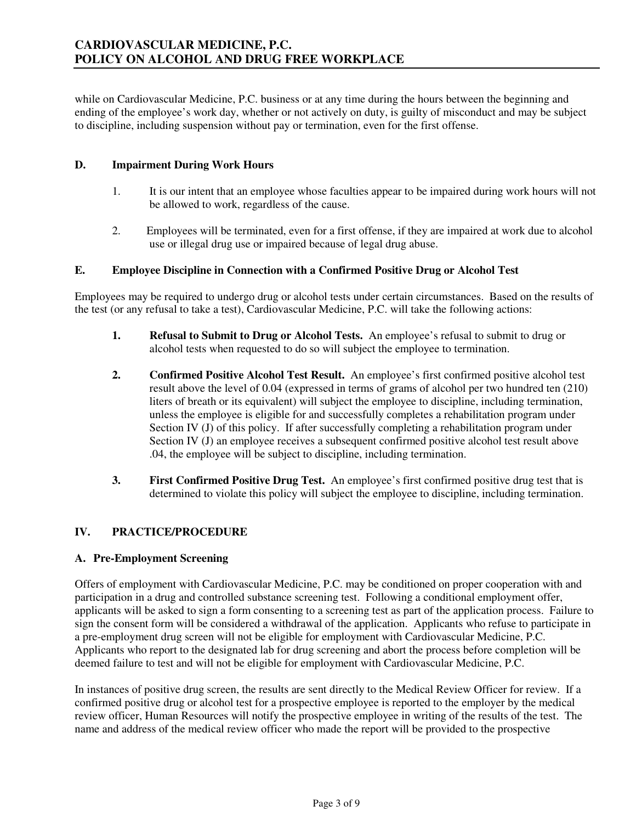while on Cardiovascular Medicine, P.C. business or at any time during the hours between the beginning and ending of the employee's work day, whether or not actively on duty, is guilty of misconduct and may be subject to discipline, including suspension without pay or termination, even for the first offense.

### **D. Impairment During Work Hours**

- 1. It is our intent that an employee whose faculties appear to be impaired during work hours will not be allowed to work, regardless of the cause.
- 2. Employees will be terminated, even for a first offense, if they are impaired at work due to alcohol use or illegal drug use or impaired because of legal drug abuse.

## **E. Employee Discipline in Connection with a Confirmed Positive Drug or Alcohol Test**

Employees may be required to undergo drug or alcohol tests under certain circumstances. Based on the results of the test (or any refusal to take a test), Cardiovascular Medicine, P.C. will take the following actions:

- **1. Refusal to Submit to Drug or Alcohol Tests.** An employee's refusal to submit to drug or alcohol tests when requested to do so will subject the employee to termination.
- **2. Confirmed Positive Alcohol Test Result.** An employee's first confirmed positive alcohol test result above the level of 0.04 (expressed in terms of grams of alcohol per two hundred ten (210) liters of breath or its equivalent) will subject the employee to discipline, including termination, unless the employee is eligible for and successfully completes a rehabilitation program under Section IV (J) of this policy. If after successfully completing a rehabilitation program under Section IV (J) an employee receives a subsequent confirmed positive alcohol test result above .04, the employee will be subject to discipline, including termination.
- **3. First Confirmed Positive Drug Test.** An employee's first confirmed positive drug test that is determined to violate this policy will subject the employee to discipline, including termination.

# **IV. PRACTICE/PROCEDURE**

#### **A. Pre-Employment Screening**

Offers of employment with Cardiovascular Medicine, P.C. may be conditioned on proper cooperation with and participation in a drug and controlled substance screening test. Following a conditional employment offer, applicants will be asked to sign a form consenting to a screening test as part of the application process. Failure to sign the consent form will be considered a withdrawal of the application. Applicants who refuse to participate in a pre-employment drug screen will not be eligible for employment with Cardiovascular Medicine, P.C. Applicants who report to the designated lab for drug screening and abort the process before completion will be deemed failure to test and will not be eligible for employment with Cardiovascular Medicine, P.C.

In instances of positive drug screen, the results are sent directly to the Medical Review Officer for review. If a confirmed positive drug or alcohol test for a prospective employee is reported to the employer by the medical review officer, Human Resources will notify the prospective employee in writing of the results of the test. The name and address of the medical review officer who made the report will be provided to the prospective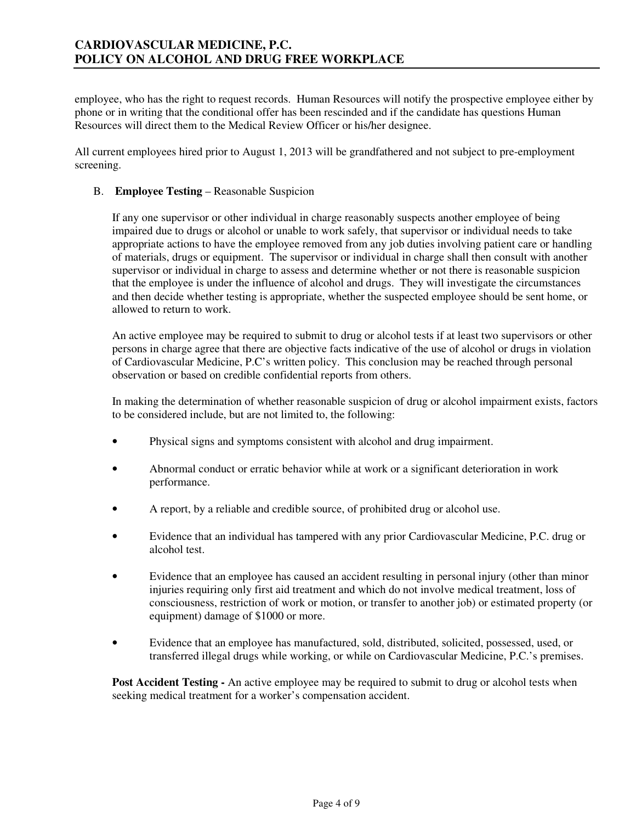# **CARDIOVASCULAR MEDICINE, P.C. POLICY ON ALCOHOL AND DRUG FREE WORKPLACE**

employee, who has the right to request records. Human Resources will notify the prospective employee either by phone or in writing that the conditional offer has been rescinded and if the candidate has questions Human Resources will direct them to the Medical Review Officer or his/her designee.

All current employees hired prior to August 1, 2013 will be grandfathered and not subject to pre-employment screening.

### B. **Employee Testing** – Reasonable Suspicion

If any one supervisor or other individual in charge reasonably suspects another employee of being impaired due to drugs or alcohol or unable to work safely, that supervisor or individual needs to take appropriate actions to have the employee removed from any job duties involving patient care or handling of materials, drugs or equipment. The supervisor or individual in charge shall then consult with another supervisor or individual in charge to assess and determine whether or not there is reasonable suspicion that the employee is under the influence of alcohol and drugs. They will investigate the circumstances and then decide whether testing is appropriate, whether the suspected employee should be sent home, or allowed to return to work.

An active employee may be required to submit to drug or alcohol tests if at least two supervisors or other persons in charge agree that there are objective facts indicative of the use of alcohol or drugs in violation of Cardiovascular Medicine, P.C's written policy. This conclusion may be reached through personal observation or based on credible confidential reports from others.

In making the determination of whether reasonable suspicion of drug or alcohol impairment exists, factors to be considered include, but are not limited to, the following:

- Physical signs and symptoms consistent with alcohol and drug impairment.
- Abnormal conduct or erratic behavior while at work or a significant deterioration in work performance.
- A report, by a reliable and credible source, of prohibited drug or alcohol use.
- Evidence that an individual has tampered with any prior Cardiovascular Medicine, P.C. drug or alcohol test.
- Evidence that an employee has caused an accident resulting in personal injury (other than minor injuries requiring only first aid treatment and which do not involve medical treatment, loss of consciousness, restriction of work or motion, or transfer to another job) or estimated property (or equipment) damage of \$1000 or more.
- Evidence that an employee has manufactured, sold, distributed, solicited, possessed, used, or transferred illegal drugs while working, or while on Cardiovascular Medicine, P.C.'s premises.

**Post Accident Testing -** An active employee may be required to submit to drug or alcohol tests when seeking medical treatment for a worker's compensation accident.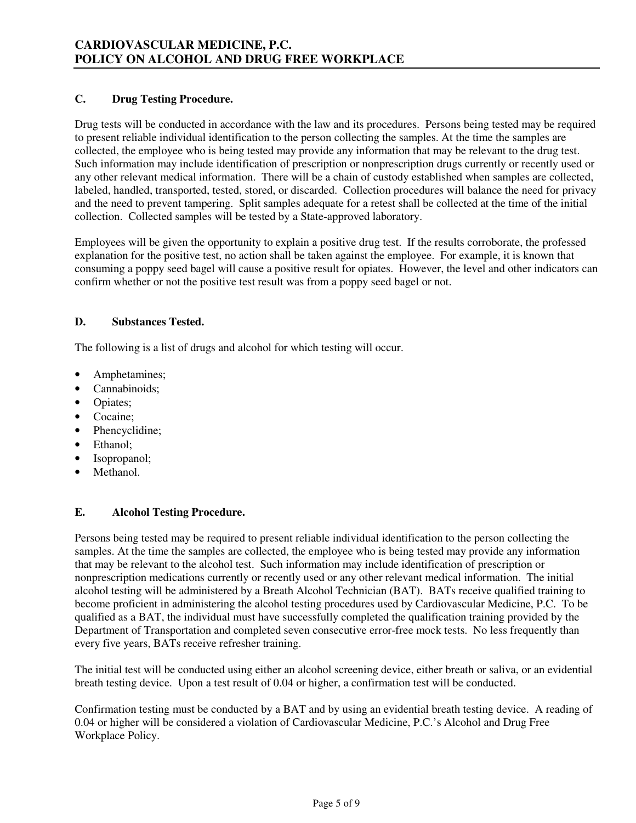# **C. Drug Testing Procedure.**

Drug tests will be conducted in accordance with the law and its procedures. Persons being tested may be required to present reliable individual identification to the person collecting the samples. At the time the samples are collected, the employee who is being tested may provide any information that may be relevant to the drug test. Such information may include identification of prescription or nonprescription drugs currently or recently used or any other relevant medical information. There will be a chain of custody established when samples are collected, labeled, handled, transported, tested, stored, or discarded. Collection procedures will balance the need for privacy and the need to prevent tampering. Split samples adequate for a retest shall be collected at the time of the initial collection. Collected samples will be tested by a State-approved laboratory.

Employees will be given the opportunity to explain a positive drug test. If the results corroborate, the professed explanation for the positive test, no action shall be taken against the employee. For example, it is known that consuming a poppy seed bagel will cause a positive result for opiates. However, the level and other indicators can confirm whether or not the positive test result was from a poppy seed bagel or not.

#### **D. Substances Tested.**

The following is a list of drugs and alcohol for which testing will occur.

- Amphetamines;
- Cannabinoids;
- Opiates;
- Cocaine;
- Phencyclidine:
- Ethanol;
- Isopropanol;
- Methanol.

# **E. Alcohol Testing Procedure.**

Persons being tested may be required to present reliable individual identification to the person collecting the samples. At the time the samples are collected, the employee who is being tested may provide any information that may be relevant to the alcohol test. Such information may include identification of prescription or nonprescription medications currently or recently used or any other relevant medical information. The initial alcohol testing will be administered by a Breath Alcohol Technician (BAT). BATs receive qualified training to become proficient in administering the alcohol testing procedures used by Cardiovascular Medicine, P.C. To be qualified as a BAT, the individual must have successfully completed the qualification training provided by the Department of Transportation and completed seven consecutive error-free mock tests. No less frequently than every five years, BATs receive refresher training.

 The initial test will be conducted using either an alcohol screening device, either breath or saliva, or an evidential breath testing device. Upon a test result of 0.04 or higher, a confirmation test will be conducted.

 Confirmation testing must be conducted by a BAT and by using an evidential breath testing device. A reading of 0.04 or higher will be considered a violation of Cardiovascular Medicine, P.C.'s Alcohol and Drug Free Workplace Policy.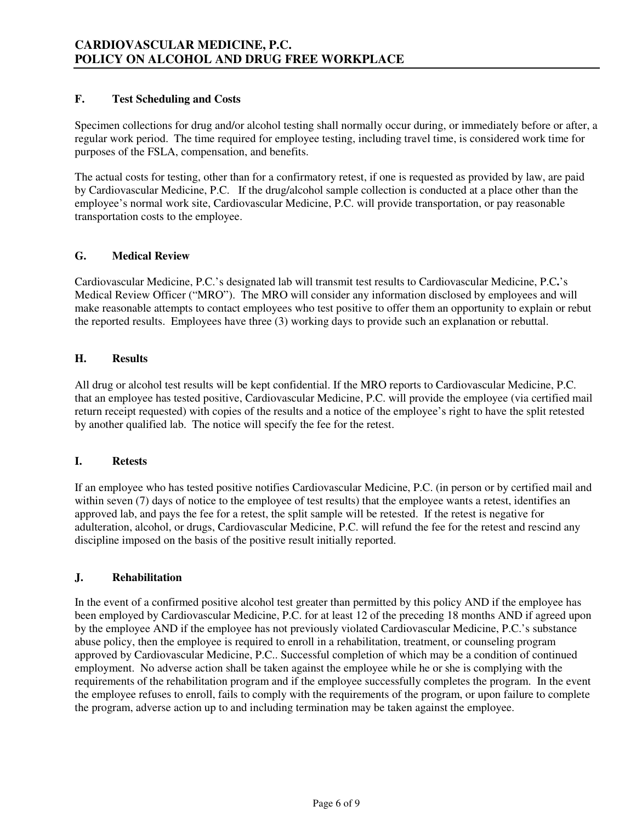### **F. Test Scheduling and Costs**

Specimen collections for drug and/or alcohol testing shall normally occur during, or immediately before or after, a regular work period. The time required for employee testing, including travel time, is considered work time for purposes of the FSLA, compensation, and benefits.

The actual costs for testing, other than for a confirmatory retest, if one is requested as provided by law, are paid by Cardiovascular Medicine, P.C. If the drug/alcohol sample collection is conducted at a place other than the employee's normal work site, Cardiovascular Medicine, P.C. will provide transportation, or pay reasonable transportation costs to the employee.

## **G. Medical Review**

Cardiovascular Medicine, P.C.'s designated lab will transmit test results to Cardiovascular Medicine, P.C**.**'s Medical Review Officer ("MRO"). The MRO will consider any information disclosed by employees and will make reasonable attempts to contact employees who test positive to offer them an opportunity to explain or rebut the reported results. Employees have three (3) working days to provide such an explanation or rebuttal.

#### **H. Results**

All drug or alcohol test results will be kept confidential. If the MRO reports to Cardiovascular Medicine, P.C. that an employee has tested positive, Cardiovascular Medicine, P.C. will provide the employee (via certified mail return receipt requested) with copies of the results and a notice of the employee's right to have the split retested by another qualified lab. The notice will specify the fee for the retest.

#### **I. Retests**

If an employee who has tested positive notifies Cardiovascular Medicine, P.C. (in person or by certified mail and within seven (7) days of notice to the employee of test results) that the employee wants a retest, identifies an approved lab, and pays the fee for a retest, the split sample will be retested. If the retest is negative for adulteration, alcohol, or drugs, Cardiovascular Medicine, P.C. will refund the fee for the retest and rescind any discipline imposed on the basis of the positive result initially reported.

#### **J. Rehabilitation**

In the event of a confirmed positive alcohol test greater than permitted by this policy AND if the employee has been employed by Cardiovascular Medicine, P.C. for at least 12 of the preceding 18 months AND if agreed upon by the employee AND if the employee has not previously violated Cardiovascular Medicine, P.C.'s substance abuse policy, then the employee is required to enroll in a rehabilitation, treatment, or counseling program approved by Cardiovascular Medicine, P.C.. Successful completion of which may be a condition of continued employment. No adverse action shall be taken against the employee while he or she is complying with the requirements of the rehabilitation program and if the employee successfully completes the program. In the event the employee refuses to enroll, fails to comply with the requirements of the program, or upon failure to complete the program, adverse action up to and including termination may be taken against the employee.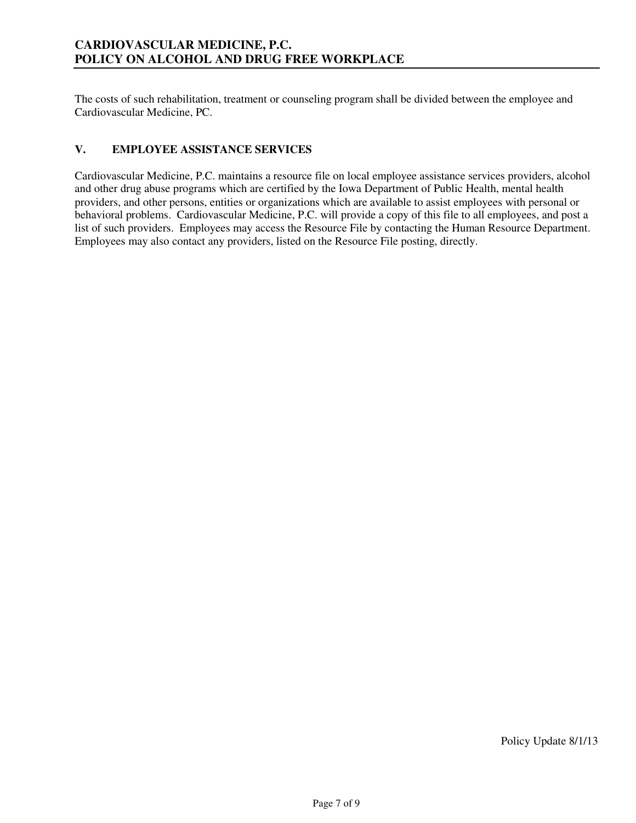The costs of such rehabilitation, treatment or counseling program shall be divided between the employee and Cardiovascular Medicine, PC.

# **V. EMPLOYEE ASSISTANCE SERVICES**

Cardiovascular Medicine, P.C. maintains a resource file on local employee assistance services providers, alcohol and other drug abuse programs which are certified by the Iowa Department of Public Health, mental health providers, and other persons, entities or organizations which are available to assist employees with personal or behavioral problems. Cardiovascular Medicine, P.C. will provide a copy of this file to all employees, and post a list of such providers. Employees may access the Resource File by contacting the Human Resource Department. Employees may also contact any providers, listed on the Resource File posting, directly.

Policy Update 8/1/13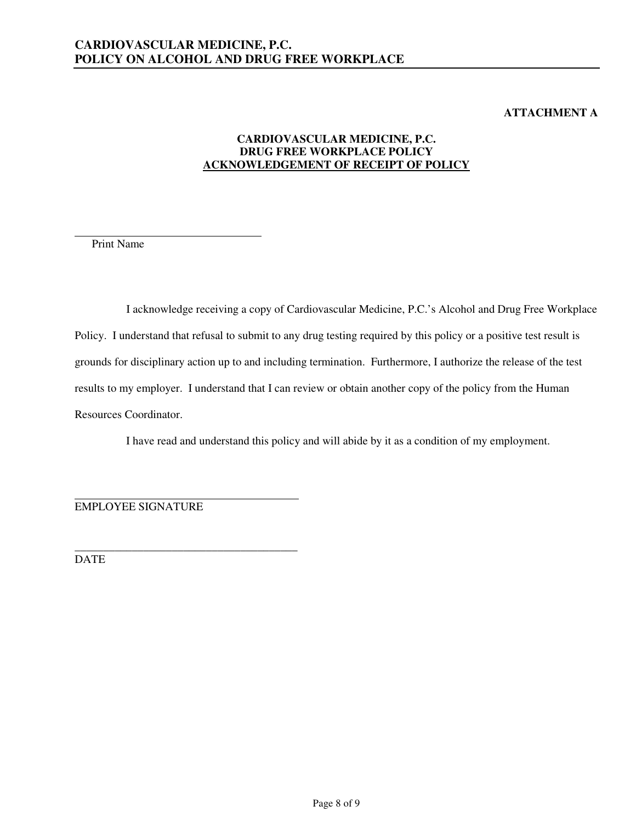# **ATTACHMENT A**

# **CARDIOVASCULAR MEDICINE, P.C. DRUG FREE WORKPLACE POLICY ACKNOWLEDGEMENT OF RECEIPT OF POLICY**

Print Name

 $\overline{a}$ 

I acknowledge receiving a copy of Cardiovascular Medicine, P.C.'s Alcohol and Drug Free Workplace Policy. I understand that refusal to submit to any drug testing required by this policy or a positive test result is grounds for disciplinary action up to and including termination. Furthermore, I authorize the release of the test results to my employer. I understand that I can review or obtain another copy of the policy from the Human Resources Coordinator.

I have read and understand this policy and will abide by it as a condition of my employment.

 EMPLOYEE SIGNATURE

\_\_\_\_\_\_\_\_\_\_\_\_\_\_\_\_\_\_\_\_\_\_\_\_\_\_\_\_\_\_\_\_\_\_\_\_\_\_\_ DATE